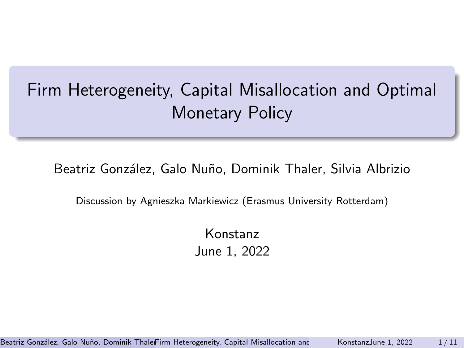# <span id="page-0-0"></span>Firm Heterogeneity, Capital Misallocation and Optimal Monetary Policy

Beatriz González, Galo Nuño, Dominik Thaler, Silvia Albrizio

Discussion by Agnieszka Markiewicz (Erasmus University Rotterdam)

Konstanz June 1, 2022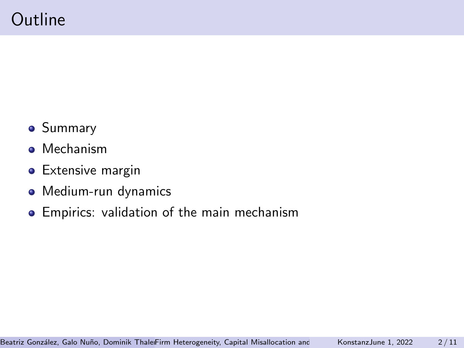## Outline

- **•** Summary
- **•** Mechanism
- **•** Extensive margin
- Medium-run dynamics
- **•** Empirics: validation of the main mechanism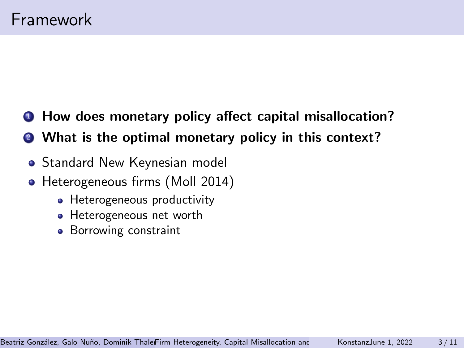- **1** How does monetary policy affect capital misallocation?
- **2** What is the optimal monetary policy in this context?
	- **Standard New Keynesian model**
	- Heterogeneous firms (Moll 2014)
		- Heterogeneous productivity
		- **Heterogeneous net worth**
		- **•** Borrowing constraint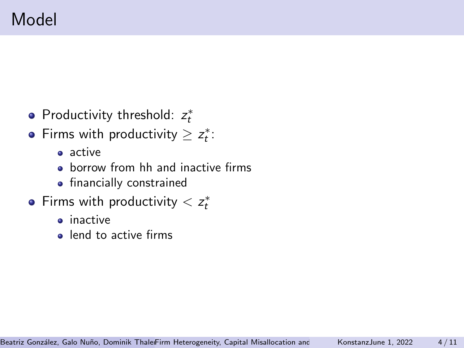- Productivity threshold:  $z_t^*$
- Firms with productivity  $\ge z_t^*$ :
	- active
	- **•** borrow from hh and inactive firms
	- financially constrained
- Firms with productivity  $< z_t^*$ 
	- **a** inactive
	- **e** lend to active firms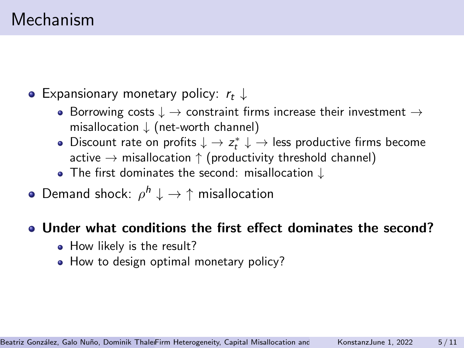### Mechanism

- Expansionary monetary policy:  $r_t \downarrow$ 
	- Borrowing costs  $\downarrow \rightarrow$  constraint firms increase their investment  $\rightarrow$ misallocation  $\downarrow$  (net-worth channel)
	- Discount rate on profits  $\downarrow \rightarrow z_t^* \downarrow \rightarrow$  less productive firms become active  $\rightarrow$  misallocation  $\uparrow$  (productivity threshold channel)
	- The first dominates the second: misallocation ↓
- Demand shock:  $\rho^h \downarrow \rightarrow \uparrow$  misallocation

#### Under what conditions the first effect dominates the second?

- How likely is the result?
- How to design optimal monetary policy?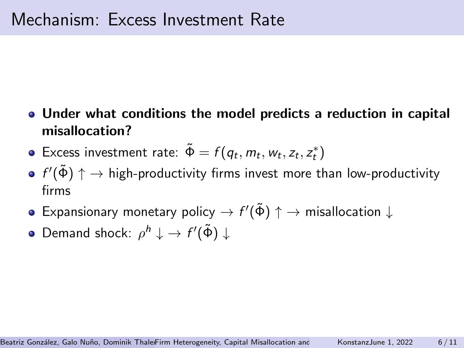- Under what conditions the model predicts a reduction in capital misallocation?
- Excess investment rate:  $\tilde{\Phi} = f(q_t, m_t, w_t, z_t, z_t^*)$
- $f'(\tilde{\Phi}) \uparrow \rightarrow$  high-productivity firms invest more than low-productivity firms
- Expansionary monetary policy  $\to f'(\tilde{\Phi}) \uparrow \to$  misallocation  $\downarrow$
- Demand shock:  $\rho^h \downarrow \rightarrow f'(\tilde{\Phi}) \downarrow$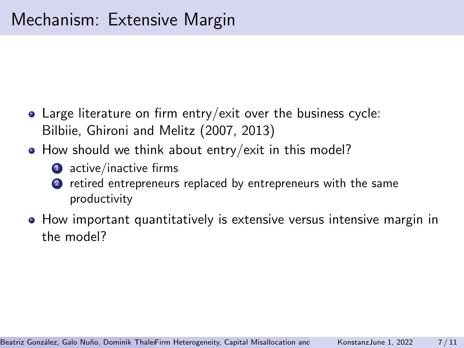- Large literature on firm entry/exit over the business cycle: Bilbiie, Ghironi and Melitz (2007, 2013)
- How should we think about entry/exit in this model?
	- **1** active/inactive firms
	- 2 retired entrepreneurs replaced by entrepreneurs with the same productivity
- **How important quantitatively is extensive versus intensive margin in** the model?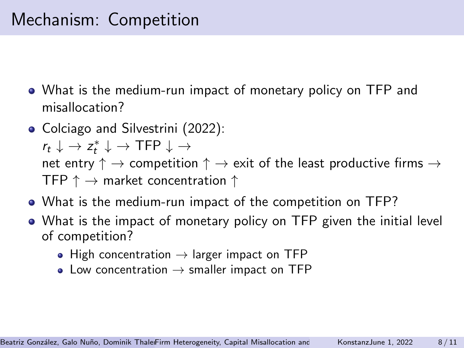## Mechanism: Competition

- What is the medium-run impact of monetary policy on TFP and misallocation?
- Colciago and Silvestrini (2022):

 $r_t \downarrow \rightarrow z_t^* \downarrow \rightarrow \text{TFP} \downarrow \rightarrow$ net entry  $\uparrow \rightarrow$  competition  $\uparrow \rightarrow$  exit of the least productive firms  $\rightarrow$ TFP  $\uparrow \rightarrow$  market concentration  $\uparrow$ 

- What is the medium-run impact of the competition on TFP?
- What is the impact of monetary policy on TFP given the initial level of competition?
	- $\bullet$  High concentration  $\rightarrow$  larger impact on TFP
	- $\bullet$  Low concentration  $\rightarrow$  smaller impact on TFP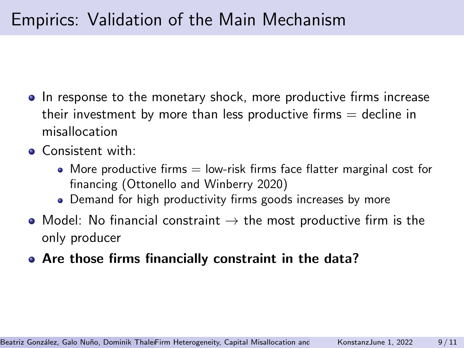## Empirics: Validation of the Main Mechanism

- In response to the monetary shock, more productive firms increase their investment by more than less productive firms  $=$  decline in misallocation
- **Consistent with:** 
	- More productive firms  $=$  low-risk firms face flatter marginal cost for financing (Ottonello and Winberry 2020)
	- Demand for high productivity firms goods increases by more
- Model: No financial constraint  $\rightarrow$  the most productive firm is the only producer
- Are those firms financially constraint in the data?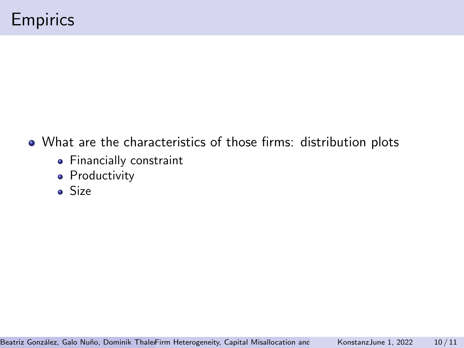- What are the characteristics of those firms: distribution plots
	- **•** Financially constraint
	- **•** Productivity
	- **o** Size